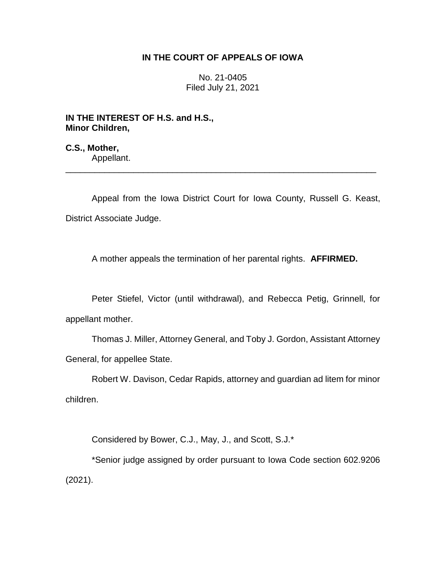# **IN THE COURT OF APPEALS OF IOWA**

No. 21-0405 Filed July 21, 2021

**IN THE INTEREST OF H.S. and H.S., Minor Children,**

**C.S., Mother,** Appellant.

Appeal from the Iowa District Court for Iowa County, Russell G. Keast, District Associate Judge.

\_\_\_\_\_\_\_\_\_\_\_\_\_\_\_\_\_\_\_\_\_\_\_\_\_\_\_\_\_\_\_\_\_\_\_\_\_\_\_\_\_\_\_\_\_\_\_\_\_\_\_\_\_\_\_\_\_\_\_\_\_\_\_\_

A mother appeals the termination of her parental rights. **AFFIRMED.**

Peter Stiefel, Victor (until withdrawal), and Rebecca Petig, Grinnell, for appellant mother.

Thomas J. Miller, Attorney General, and Toby J. Gordon, Assistant Attorney General, for appellee State.

Robert W. Davison, Cedar Rapids, attorney and guardian ad litem for minor children.

Considered by Bower, C.J., May, J., and Scott, S.J.\*

\*Senior judge assigned by order pursuant to Iowa Code section 602.9206 (2021).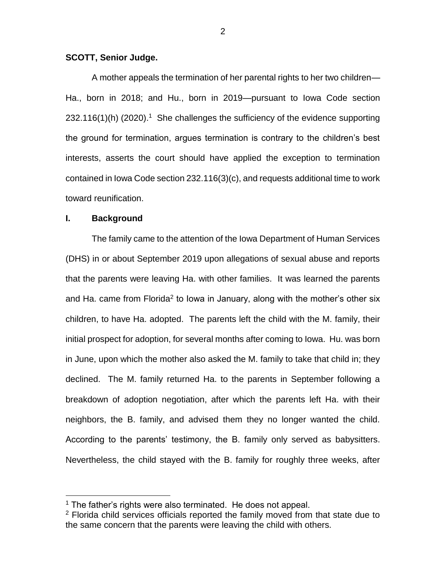## **SCOTT, Senior Judge.**

A mother appeals the termination of her parental rights to her two children— Ha., born in 2018; and Hu., born in 2019—pursuant to Iowa Code section  $232.116(1)$ (h) (2020).<sup>1</sup> She challenges the sufficiency of the evidence supporting the ground for termination, argues termination is contrary to the children's best interests, asserts the court should have applied the exception to termination contained in Iowa Code section 232.116(3)(c), and requests additional time to work toward reunification.

### **I. Background**

 $\overline{a}$ 

The family came to the attention of the Iowa Department of Human Services (DHS) in or about September 2019 upon allegations of sexual abuse and reports that the parents were leaving Ha. with other families. It was learned the parents and Ha. came from Florida<sup>2</sup> to Iowa in January, along with the mother's other six children, to have Ha. adopted. The parents left the child with the M. family, their initial prospect for adoption, for several months after coming to Iowa. Hu. was born in June, upon which the mother also asked the M. family to take that child in; they declined. The M. family returned Ha. to the parents in September following a breakdown of adoption negotiation, after which the parents left Ha. with their neighbors, the B. family, and advised them they no longer wanted the child. According to the parents' testimony, the B. family only served as babysitters. Nevertheless, the child stayed with the B. family for roughly three weeks, after

 $1$  The father's rights were also terminated. He does not appeal.

 $2$  Florida child services officials reported the family moved from that state due to the same concern that the parents were leaving the child with others.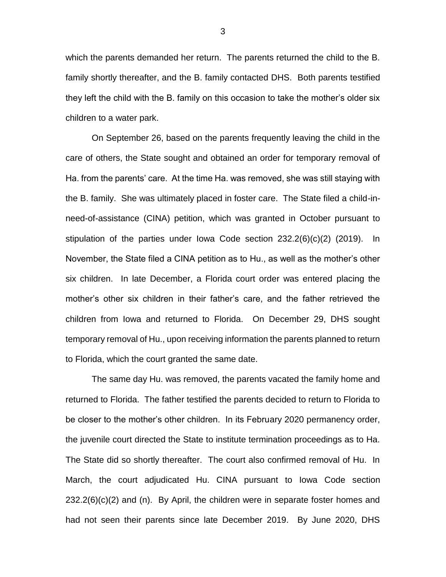which the parents demanded her return. The parents returned the child to the B. family shortly thereafter, and the B. family contacted DHS. Both parents testified they left the child with the B. family on this occasion to take the mother's older six children to a water park.

On September 26, based on the parents frequently leaving the child in the care of others, the State sought and obtained an order for temporary removal of Ha. from the parents' care. At the time Ha. was removed, she was still staying with the B. family. She was ultimately placed in foster care. The State filed a child-inneed-of-assistance (CINA) petition, which was granted in October pursuant to stipulation of the parties under Iowa Code section 232.2(6)(c)(2) (2019). In November, the State filed a CINA petition as to Hu., as well as the mother's other six children. In late December, a Florida court order was entered placing the mother's other six children in their father's care, and the father retrieved the children from Iowa and returned to Florida. On December 29, DHS sought temporary removal of Hu., upon receiving information the parents planned to return to Florida, which the court granted the same date.

The same day Hu. was removed, the parents vacated the family home and returned to Florida. The father testified the parents decided to return to Florida to be closer to the mother's other children. In its February 2020 permanency order, the juvenile court directed the State to institute termination proceedings as to Ha. The State did so shortly thereafter. The court also confirmed removal of Hu. In March, the court adjudicated Hu. CINA pursuant to Iowa Code section 232.2(6)(c)(2) and (n). By April, the children were in separate foster homes and had not seen their parents since late December 2019. By June 2020, DHS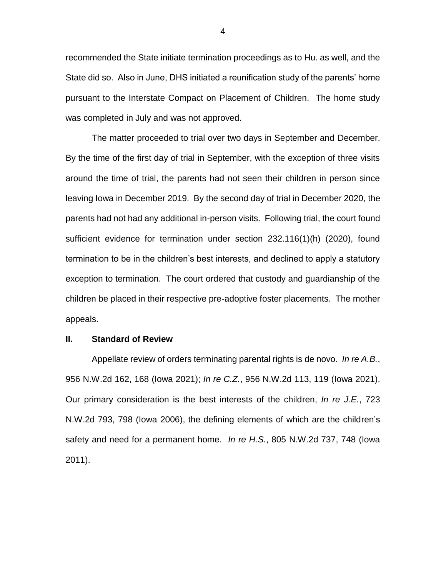recommended the State initiate termination proceedings as to Hu. as well, and the State did so. Also in June, DHS initiated a reunification study of the parents' home pursuant to the Interstate Compact on Placement of Children. The home study was completed in July and was not approved.

The matter proceeded to trial over two days in September and December. By the time of the first day of trial in September, with the exception of three visits around the time of trial, the parents had not seen their children in person since leaving Iowa in December 2019. By the second day of trial in December 2020, the parents had not had any additional in-person visits. Following trial, the court found sufficient evidence for termination under section 232.116(1)(h) (2020), found termination to be in the children's best interests, and declined to apply a statutory exception to termination. The court ordered that custody and guardianship of the children be placed in their respective pre-adoptive foster placements. The mother appeals.

#### **II. Standard of Review**

Appellate review of orders terminating parental rights is de novo. *In re A.B.*, 956 N.W.2d 162, 168 (Iowa 2021); *In re C.Z.*, 956 N.W.2d 113, 119 (Iowa 2021). Our primary consideration is the best interests of the children, *In re J.E.*, 723 N.W.2d 793, 798 (Iowa 2006), the defining elements of which are the children's safety and need for a permanent home. *In re H.S.*, 805 N.W.2d 737, 748 (Iowa 2011).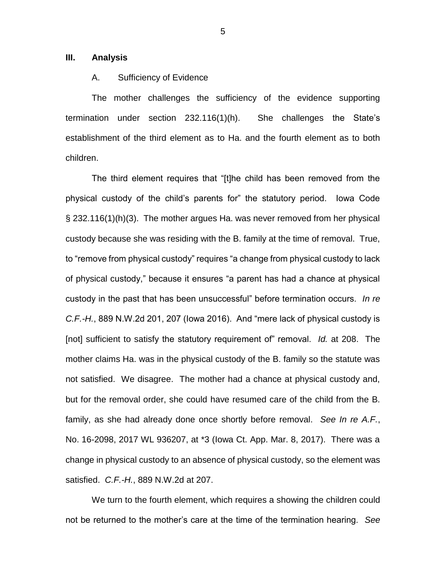## **III. Analysis**

### A. Sufficiency of Evidence

The mother challenges the sufficiency of the evidence supporting termination under section 232.116(1)(h). She challenges the State's establishment of the third element as to Ha. and the fourth element as to both children.

The third element requires that "[t]he child has been removed from the physical custody of the child's parents for" the statutory period. Iowa Code § 232.116(1)(h)(3). The mother argues Ha. was never removed from her physical custody because she was residing with the B. family at the time of removal. True, to "remove from physical custody" requires "a change from physical custody to lack of physical custody," because it ensures "a parent has had a chance at physical custody in the past that has been unsuccessful" before termination occurs. *In re C.F.-H.*, 889 N.W.2d 201, 207 (Iowa 2016). And "mere lack of physical custody is [not] sufficient to satisfy the statutory requirement of" removal. *Id.* at 208. The mother claims Ha. was in the physical custody of the B. family so the statute was not satisfied. We disagree. The mother had a chance at physical custody and, but for the removal order, she could have resumed care of the child from the B. family, as she had already done once shortly before removal. *See In re A.F.*, No. 16-2098, 2017 WL 936207, at \*3 (Iowa Ct. App. Mar. 8, 2017). There was a change in physical custody to an absence of physical custody, so the element was satisfied. *C.F.-H.*, 889 N.W.2d at 207.

We turn to the fourth element, which requires a showing the children could not be returned to the mother's care at the time of the termination hearing. *See*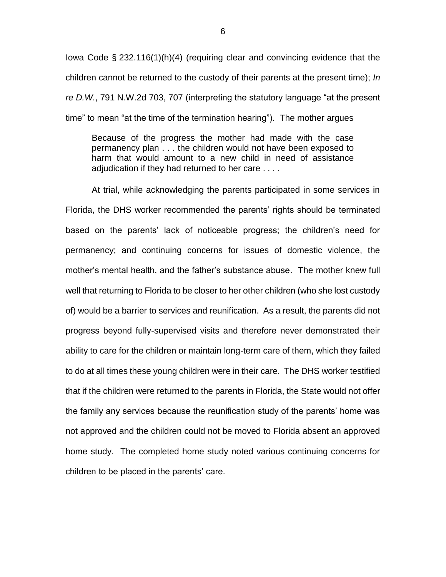Iowa Code § 232.116(1)(h)(4) (requiring clear and convincing evidence that the children cannot be returned to the custody of their parents at the present time); *In re D.W.*, 791 N.W.2d 703, 707 (interpreting the statutory language "at the present time" to mean "at the time of the termination hearing"). The mother argues

Because of the progress the mother had made with the case permanency plan . . . the children would not have been exposed to harm that would amount to a new child in need of assistance adjudication if they had returned to her care . . . .

At trial, while acknowledging the parents participated in some services in Florida, the DHS worker recommended the parents' rights should be terminated based on the parents' lack of noticeable progress; the children's need for permanency; and continuing concerns for issues of domestic violence, the mother's mental health, and the father's substance abuse. The mother knew full well that returning to Florida to be closer to her other children (who she lost custody of) would be a barrier to services and reunification. As a result, the parents did not progress beyond fully-supervised visits and therefore never demonstrated their ability to care for the children or maintain long-term care of them, which they failed to do at all times these young children were in their care. The DHS worker testified that if the children were returned to the parents in Florida, the State would not offer the family any services because the reunification study of the parents' home was not approved and the children could not be moved to Florida absent an approved home study. The completed home study noted various continuing concerns for children to be placed in the parents' care.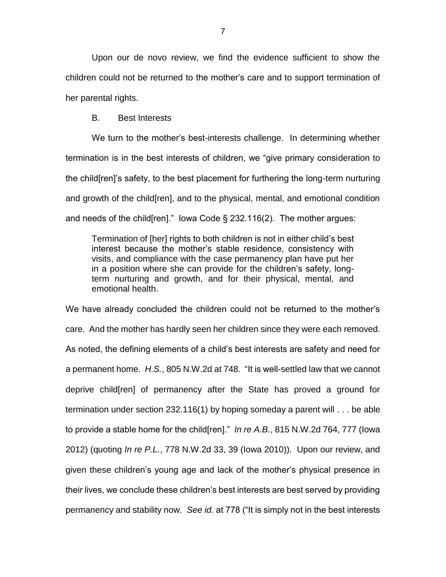Upon our de novo review, we find the evidence sufficient to show the children could not be returned to the mother's care and to support termination of her parental rights.

B. Best Interests

We turn to the mother's best-interests challenge. In determining whether termination is in the best interests of children, we "give primary consideration to the child[ren]'s safety, to the best placement for furthering the long-term nurturing and growth of the child[ren], and to the physical, mental, and emotional condition and needs of the child [ren]." lowa Code  $\S$  232.116(2). The mother argues:

Termination of [her] rights to both children is not in either child's best interest because the mother's stable residence, consistency with visits, and compliance with the case permanency plan have put her in a position where she can provide for the children's safety, longterm nurturing and growth, and for their physical, mental, and emotional health.

We have already concluded the children could not be returned to the mother's care. And the mother has hardly seen her children since they were each removed. As noted, the defining elements of a child's best interests are safety and need for a permanent home. *H.S.*, 805 N.W.2d at 748. "It is well-settled law that we cannot deprive child[ren] of permanency after the State has proved a ground for termination under section 232.116(1) by hoping someday a parent will . . . be able to provide a stable home for the child[ren]." *In re A.B.*, 815 N.W.2d 764, 777 (Iowa 2012) (quoting *In re P.L.*, 778 N.W.2d 33, 39 (Iowa 2010)). Upon our review, and given these children's young age and lack of the mother's physical presence in their lives, we conclude these children's best interests are best served by providing permanency and stability now. *See id.* at 778 ("It is simply not in the best interests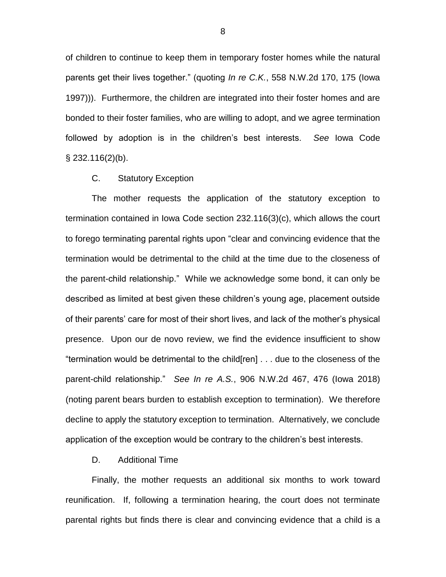of children to continue to keep them in temporary foster homes while the natural parents get their lives together." (quoting *In re C.K.*, 558 N.W.2d 170, 175 (Iowa 1997))). Furthermore, the children are integrated into their foster homes and are bonded to their foster families, who are willing to adopt, and we agree termination followed by adoption is in the children's best interests. *See* Iowa Code  $\S$  232.116(2)(b).

#### C. Statutory Exception

The mother requests the application of the statutory exception to termination contained in Iowa Code section 232.116(3)(c), which allows the court to forego terminating parental rights upon "clear and convincing evidence that the termination would be detrimental to the child at the time due to the closeness of the parent-child relationship." While we acknowledge some bond, it can only be described as limited at best given these children's young age, placement outside of their parents' care for most of their short lives, and lack of the mother's physical presence. Upon our de novo review, we find the evidence insufficient to show "termination would be detrimental to the child[ren] . . . due to the closeness of the parent-child relationship." *See In re A.S.*, 906 N.W.2d 467, 476 (Iowa 2018) (noting parent bears burden to establish exception to termination). We therefore decline to apply the statutory exception to termination. Alternatively, we conclude application of the exception would be contrary to the children's best interests.

## D. Additional Time

Finally, the mother requests an additional six months to work toward reunification. If, following a termination hearing, the court does not terminate parental rights but finds there is clear and convincing evidence that a child is a

8